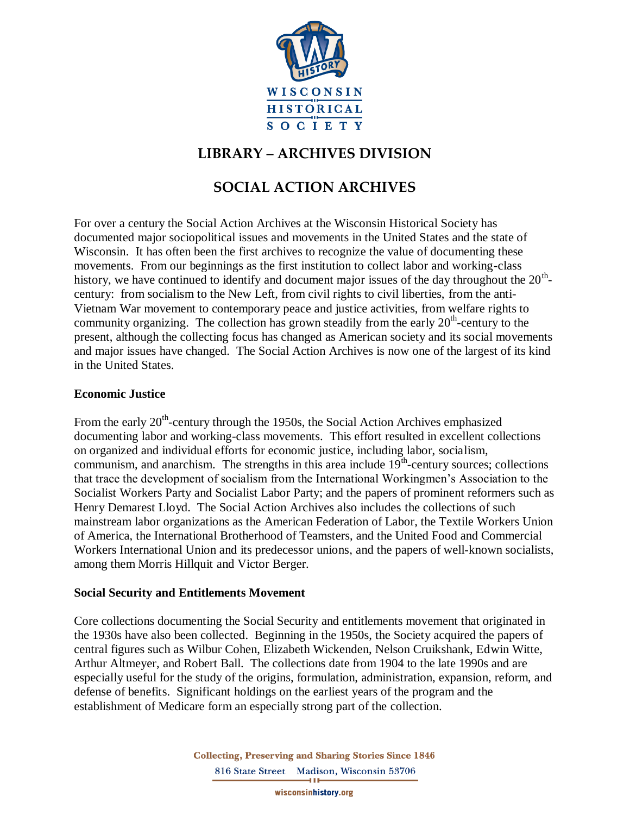

## **LIBRARY – ARCHIVES DIVISION**

# **SOCIAL ACTION ARCHIVES**

For over a century the Social Action Archives at the Wisconsin Historical Society has documented major sociopolitical issues and movements in the United States and the state of Wisconsin. It has often been the first archives to recognize the value of documenting these movements. From our beginnings as the first institution to collect labor and working-class history, we have continued to identify and document major issues of the day throughout the  $20<sup>th</sup>$ century: from socialism to the New Left, from civil rights to civil liberties, from the anti-Vietnam War movement to contemporary peace and justice activities, from welfare rights to community organizing. The collection has grown steadily from the early  $20<sup>th</sup>$ -century to the present, although the collecting focus has changed as American society and its social movements and major issues have changed. The Social Action Archives is now one of the largest of its kind in the United States.

## **Economic Justice**

From the early 20<sup>th</sup>-century through the 1950s, the Social Action Archives emphasized documenting labor and working-class movements. This effort resulted in excellent collections on organized and individual efforts for economic justice, including labor, socialism, communism, and anarchism. The strengths in this area include  $19<sup>th</sup>$ -century sources; collections that trace the development of socialism from the International Workingmen's Association to the Socialist Workers Party and Socialist Labor Party; and the papers of prominent reformers such as Henry Demarest Lloyd. The Social Action Archives also includes the collections of such mainstream labor organizations as the American Federation of Labor, the Textile Workers Union of America, the International Brotherhood of Teamsters, and the United Food and Commercial Workers International Union and its predecessor unions, and the papers of well-known socialists, among them Morris Hillquit and Victor Berger.

#### **Social Security and Entitlements Movement**

Core collections documenting the Social Security and entitlements movement that originated in the 1930s have also been collected. Beginning in the 1950s, the Society acquired the papers of central figures such as Wilbur Cohen, Elizabeth Wickenden, Nelson Cruikshank, Edwin Witte, Arthur Altmeyer, and Robert Ball. The collections date from 1904 to the late 1990s and are especially useful for the study of the origins, formulation, administration, expansion, reform, and defense of benefits. Significant holdings on the earliest years of the program and the establishment of Medicare form an especially strong part of the collection.

> **Collecting, Preserving and Sharing Stories Since 1846** 816 State Street Madison, Wisconsin 53706

> > wisconsinhistory.org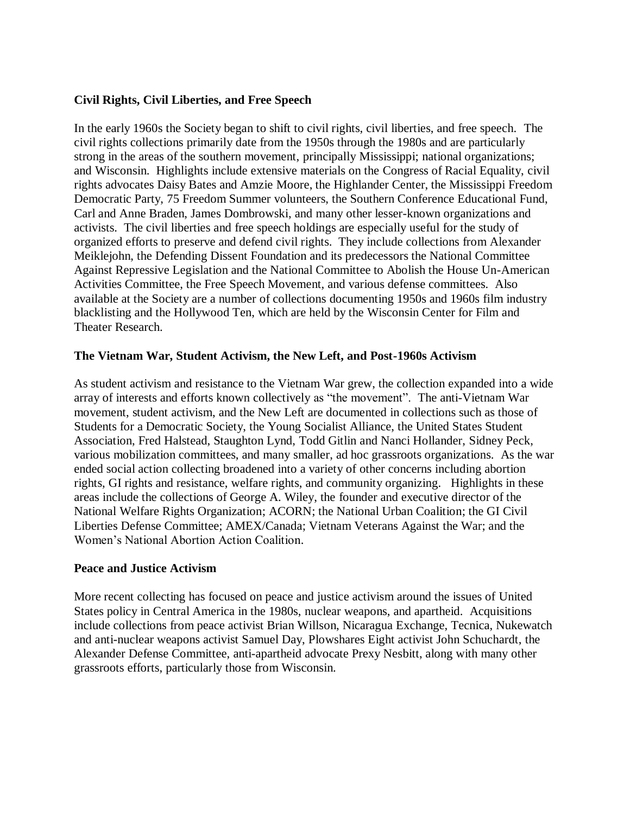## **Civil Rights, Civil Liberties, and Free Speech**

In the early 1960s the Society began to shift to civil rights, civil liberties, and free speech. The civil rights collections primarily date from the 1950s through the 1980s and are particularly strong in the areas of the southern movement, principally Mississippi; national organizations; and Wisconsin. Highlights include extensive materials on the Congress of Racial Equality, civil rights advocates Daisy Bates and Amzie Moore, the Highlander Center, the Mississippi Freedom Democratic Party, 75 Freedom Summer volunteers, the Southern Conference Educational Fund, Carl and Anne Braden, James Dombrowski, and many other lesser-known organizations and activists. The civil liberties and free speech holdings are especially useful for the study of organized efforts to preserve and defend civil rights. They include collections from Alexander Meiklejohn, the Defending Dissent Foundation and its predecessors the National Committee Against Repressive Legislation and the National Committee to Abolish the House Un-American Activities Committee, the Free Speech Movement, and various defense committees. Also available at the Society are a number of collections documenting 1950s and 1960s film industry blacklisting and the Hollywood Ten, which are held by the Wisconsin Center for Film and Theater Research.

## **The Vietnam War, Student Activism, the New Left, and Post-1960s Activism**

As student activism and resistance to the Vietnam War grew, the collection expanded into a wide array of interests and efforts known collectively as "the movement". The anti-Vietnam War movement, student activism, and the New Left are documented in collections such as those of Students for a Democratic Society, the Young Socialist Alliance, the United States Student Association, Fred Halstead, Staughton Lynd, Todd Gitlin and Nanci Hollander, Sidney Peck, various mobilization committees, and many smaller, ad hoc grassroots organizations. As the war ended social action collecting broadened into a variety of other concerns including abortion rights, GI rights and resistance, welfare rights, and community organizing. Highlights in these areas include the collections of George A. Wiley, the founder and executive director of the National Welfare Rights Organization; ACORN; the National Urban Coalition; the GI Civil Liberties Defense Committee; AMEX/Canada; Vietnam Veterans Against the War; and the Women's National Abortion Action Coalition.

#### **Peace and Justice Activism**

More recent collecting has focused on peace and justice activism around the issues of United States policy in Central America in the 1980s, nuclear weapons, and apartheid. Acquisitions include collections from peace activist Brian Willson, Nicaragua Exchange, Tecnica, Nukewatch and anti-nuclear weapons activist Samuel Day, Plowshares Eight activist John Schuchardt, the Alexander Defense Committee, anti-apartheid advocate Prexy Nesbitt, along with many other grassroots efforts, particularly those from Wisconsin.